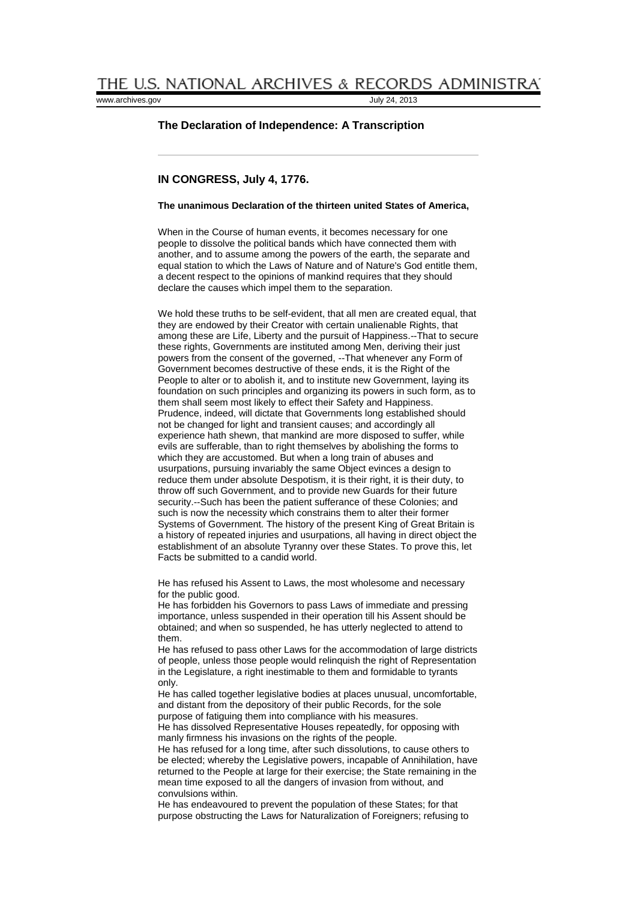[www.archives.gov](http://www.archives.gov/) July 24, 2013

## **The Declaration of Independence: A Transcription**

# **IN CONGRESS, July 4, 1776.**

# **The unanimous Declaration of the thirteen united States of America,**

When in the Course of human events, it becomes necessary for one people to dissolve the political bands which have connected them with another, and to assume among the powers of the earth, the separate and equal station to which the Laws of Nature and of Nature's God entitle them, a decent respect to the opinions of mankind requires that they should declare the causes which impel them to the separation.

We hold these truths to be self-evident, that all men are created equal, that they are endowed by their Creator with certain unalienable Rights, that among these are Life, Liberty and the pursuit of Happiness.--That to secure these rights, Governments are instituted among Men, deriving their just powers from the consent of the governed, --That whenever any Form of Government becomes destructive of these ends, it is the Right of the People to alter or to abolish it, and to institute new Government, laying its foundation on such principles and organizing its powers in such form, as to them shall seem most likely to effect their Safety and Happiness. Prudence, indeed, will dictate that Governments long established should not be changed for light and transient causes; and accordingly all experience hath shewn, that mankind are more disposed to suffer, while evils are sufferable, than to right themselves by abolishing the forms to which they are accustomed. But when a long train of abuses and usurpations, pursuing invariably the same Object evinces a design to reduce them under absolute Despotism, it is their right, it is their duty, to throw off such Government, and to provide new Guards for their future security.--Such has been the patient sufferance of these Colonies; and such is now the necessity which constrains them to alter their former Systems of Government. The history of the present King of Great Britain is a history of repeated injuries and usurpations, all having in direct object the establishment of an absolute Tyranny over these States. To prove this, let Facts be submitted to a candid world.

He has refused his Assent to Laws, the most wholesome and necessary for the public good.

He has forbidden his Governors to pass Laws of immediate and pressing importance, unless suspended in their operation till his Assent should be obtained; and when so suspended, he has utterly neglected to attend to them.

He has refused to pass other Laws for the accommodation of large districts of people, unless those people would relinquish the right of Representation in the Legislature, a right inestimable to them and formidable to tyrants only.

He has called together legislative bodies at places unusual, uncomfortable, and distant from the depository of their public Records, for the sole purpose of fatiguing them into compliance with his measures.

He has dissolved Representative Houses repeatedly, for opposing with manly firmness his invasions on the rights of the people.

He has refused for a long time, after such dissolutions, to cause others to be elected; whereby the Legislative powers, incapable of Annihilation, have returned to the People at large for their exercise; the State remaining in the mean time exposed to all the dangers of invasion from without, and convulsions within.

He has endeavoured to prevent the population of these States; for that purpose obstructing the Laws for Naturalization of Foreigners; refusing to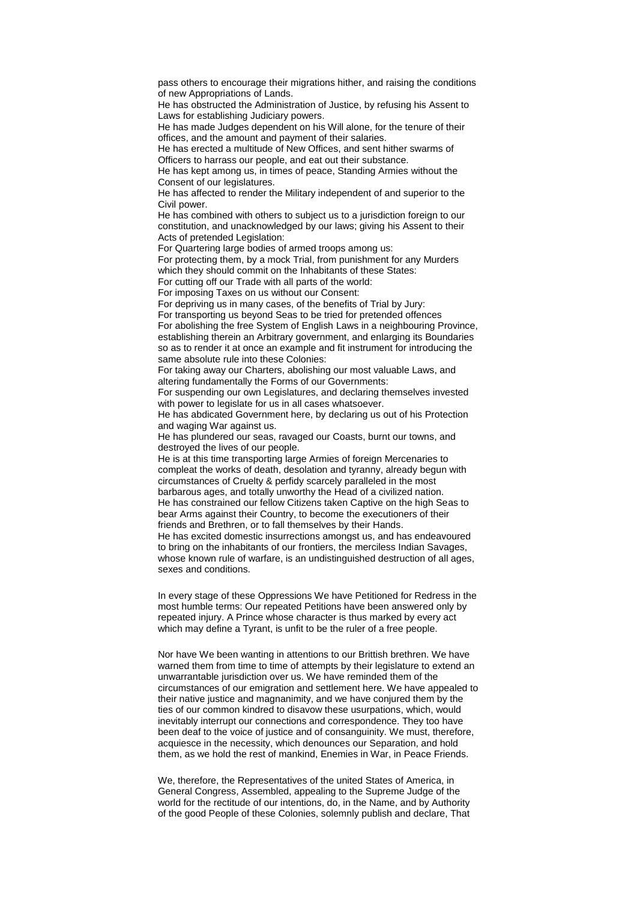pass others to encourage their migrations hither, and raising the conditions of new Appropriations of Lands.

He has obstructed the Administration of Justice, by refusing his Assent to Laws for establishing Judiciary powers.

He has made Judges dependent on his Will alone, for the tenure of their offices, and the amount and payment of their salaries.

He has erected a multitude of New Offices, and sent hither swarms of Officers to harrass our people, and eat out their substance.

He has kept among us, in times of peace, Standing Armies without the Consent of our legislatures.

He has affected to render the Military independent of and superior to the Civil power.

He has combined with others to subject us to a jurisdiction foreign to our constitution, and unacknowledged by our laws; giving his Assent to their Acts of pretended Legislation:

For Quartering large bodies of armed troops among us:

For protecting them, by a mock Trial, from punishment for any Murders which they should commit on the Inhabitants of these States:

For cutting off our Trade with all parts of the world:

For imposing Taxes on us without our Consent: For depriving us in many cases, of the benefits of Trial by Jury:

For transporting us beyond Seas to be tried for pretended offences

For abolishing the free System of English Laws in a neighbouring Province, establishing therein an Arbitrary government, and enlarging its Boundaries so as to render it at once an example and fit instrument for introducing the same absolute rule into these Colonies:

For taking away our Charters, abolishing our most valuable Laws, and altering fundamentally the Forms of our Governments:

For suspending our own Legislatures, and declaring themselves invested with power to legislate for us in all cases whatsoever.

He has abdicated Government here, by declaring us out of his Protection and waging War against us.

He has plundered our seas, ravaged our Coasts, burnt our towns, and destroyed the lives of our people.

He is at this time transporting large Armies of foreign Mercenaries to compleat the works of death, desolation and tyranny, already begun with circumstances of Cruelty & perfidy scarcely paralleled in the most barbarous ages, and totally unworthy the Head of a civilized nation. He has constrained our fellow Citizens taken Captive on the high Seas to bear Arms against their Country, to become the executioners of their friends and Brethren, or to fall themselves by their Hands. He has excited domestic insurrections amongst us, and has endeavoured to bring on the inhabitants of our frontiers, the merciless Indian Savages, whose known rule of warfare, is an undistinguished destruction of all ages, sexes and conditions.

In every stage of these Oppressions We have Petitioned for Redress in the most humble terms: Our repeated Petitions have been answered only by repeated injury. A Prince whose character is thus marked by every act which may define a Tyrant, is unfit to be the ruler of a free people.

Nor have We been wanting in attentions to our Brittish brethren. We have warned them from time to time of attempts by their legislature to extend an unwarrantable jurisdiction over us. We have reminded them of the circumstances of our emigration and settlement here. We have appealed to their native justice and magnanimity, and we have conjured them by the ties of our common kindred to disavow these usurpations, which, would inevitably interrupt our connections and correspondence. They too have been deaf to the voice of justice and of consanguinity. We must, therefore, acquiesce in the necessity, which denounces our Separation, and hold them, as we hold the rest of mankind, Enemies in War, in Peace Friends.

We, therefore, the Representatives of the united States of America, in General Congress, Assembled, appealing to the Supreme Judge of the world for the rectitude of our intentions, do, in the Name, and by Authority of the good People of these Colonies, solemnly publish and declare, That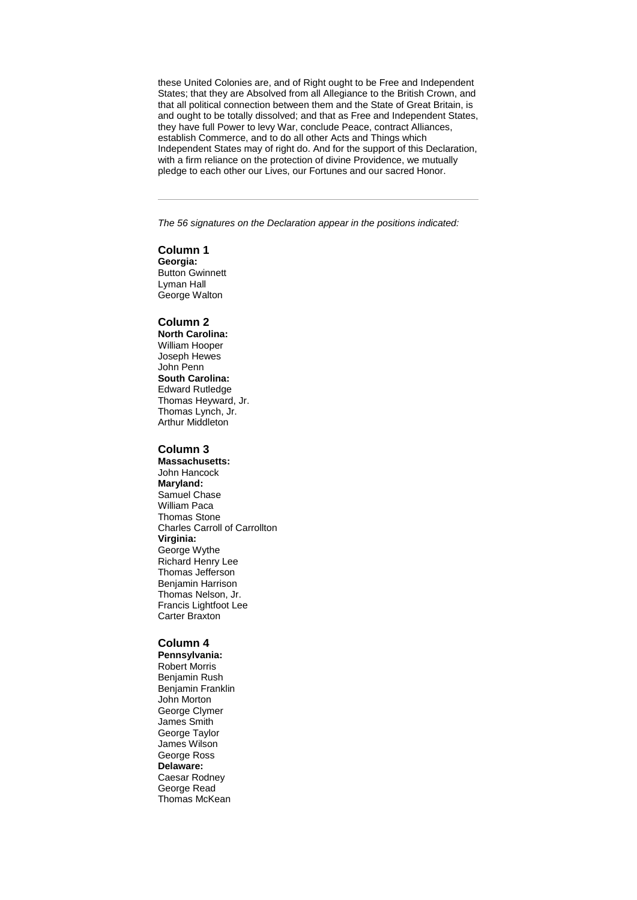these United Colonies are, and of Right ought to be Free and Independent States; that they are Absolved from all Allegiance to the British Crown, and that all political connection between them and the State of Great Britain, is and ought to be totally dissolved; and that as Free and Independent States, they have full Power to levy War, conclude Peace, contract Alliances, establish Commerce, and to do all other Acts and Things which Independent States may of right do. And for the support of this Declaration, with a firm reliance on the protection of divine Providence, we mutually pledge to each other our Lives, our Fortunes and our sacred Honor.

*The 56 signatures on the Declaration appear in the positions indicated:*

#### **Column 1**

**Georgia:** Button Gwinnett Lyman Hall George Walton

## **Column 2**

**North Carolina:** William Hooper Joseph Hewes John Penn **South Carolina:** Edward Rutledge Thomas Heyward, Jr. Thomas Lynch, Jr. Arthur Middleton

### **Column 3**

**Massachusetts:** John Hancock **Maryland:** Samuel Chase William Paca Thomas Stone Charles Carroll of Carrollton **Virginia:** George Wythe Richard Henry Lee Thomas Jefferson Benjamin Harrison Thomas Nelson, Jr. Francis Lightfoot Lee Carter Braxton

#### **Column 4**

**Pennsylvania:** Robert Morris Benjamin Rush Benjamin Franklin John Morton George Clymer James Smith George Taylor James Wilson George Ross **Delaware:** Caesar Rodney George Read Thomas McKean